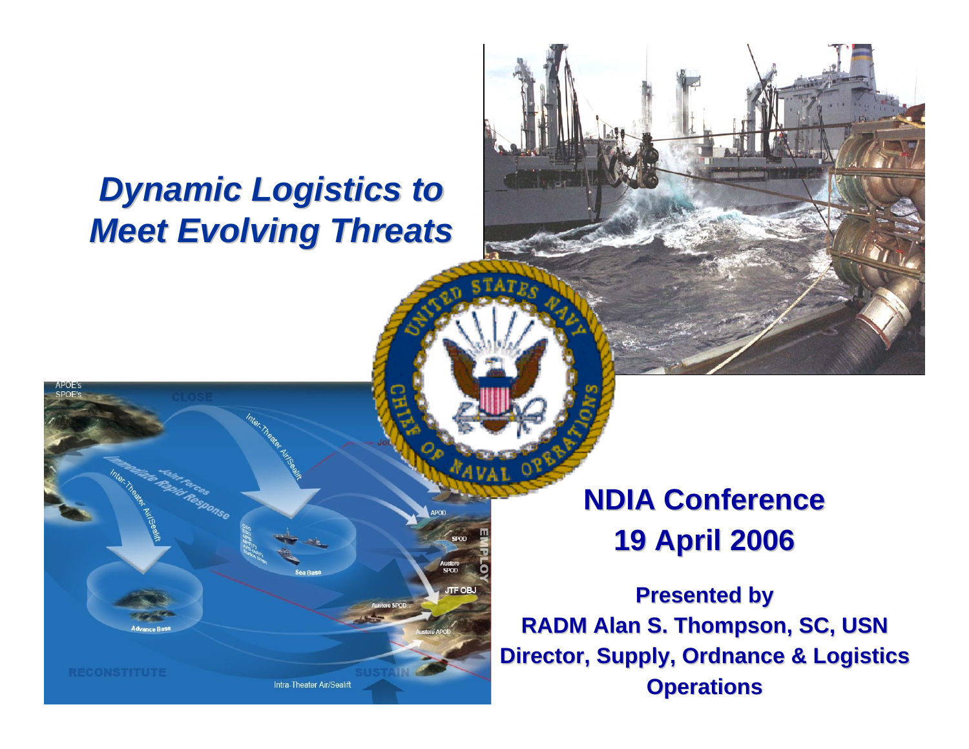### *Dynamic Logistics to Meet Evolving Threats Meet Evolving Threats*

Intra-Theater Air/Sealift

**NDIA Conference NDIA Conference19 April 2006 19 April 2006**

**Presented by Presented by RADM Alan S. Thompson, SC, USN RADM Alan S. Thompson, SC, USN Director, Supply, Ordnance & Logistics Operations Operations**

**ITF OF**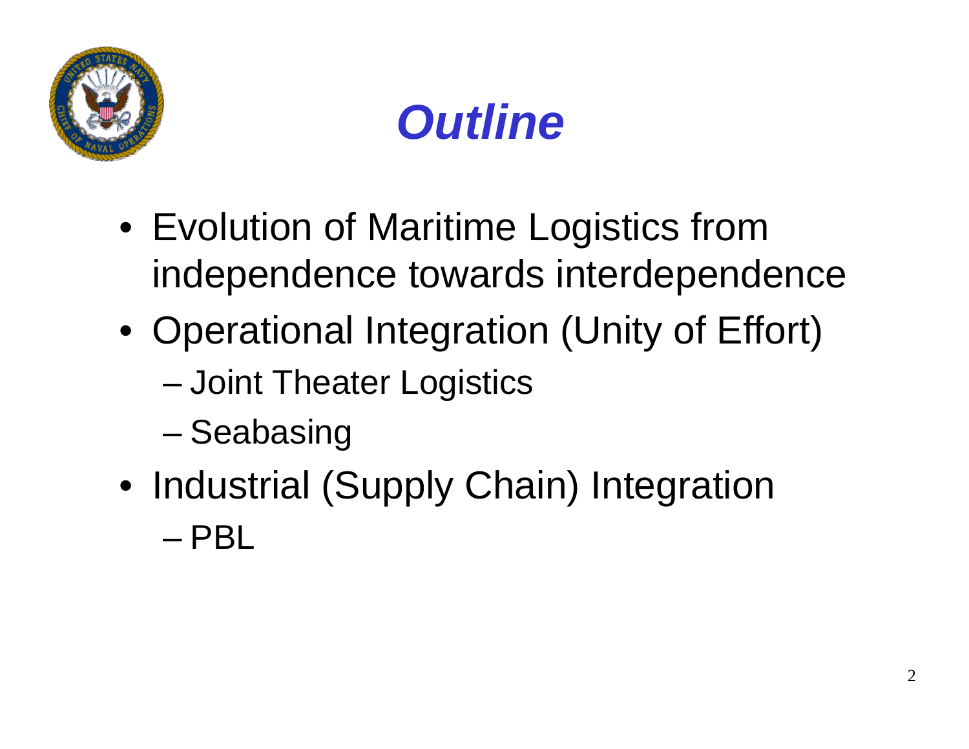



- Evolution of Maritime Logistics from independence towards interdependence
- Operational Integration (Unity of Effort)
	- –Joint Theater Logistics
	- –**Seabasing**
- Industrial (Supply Chain) Integration – PBL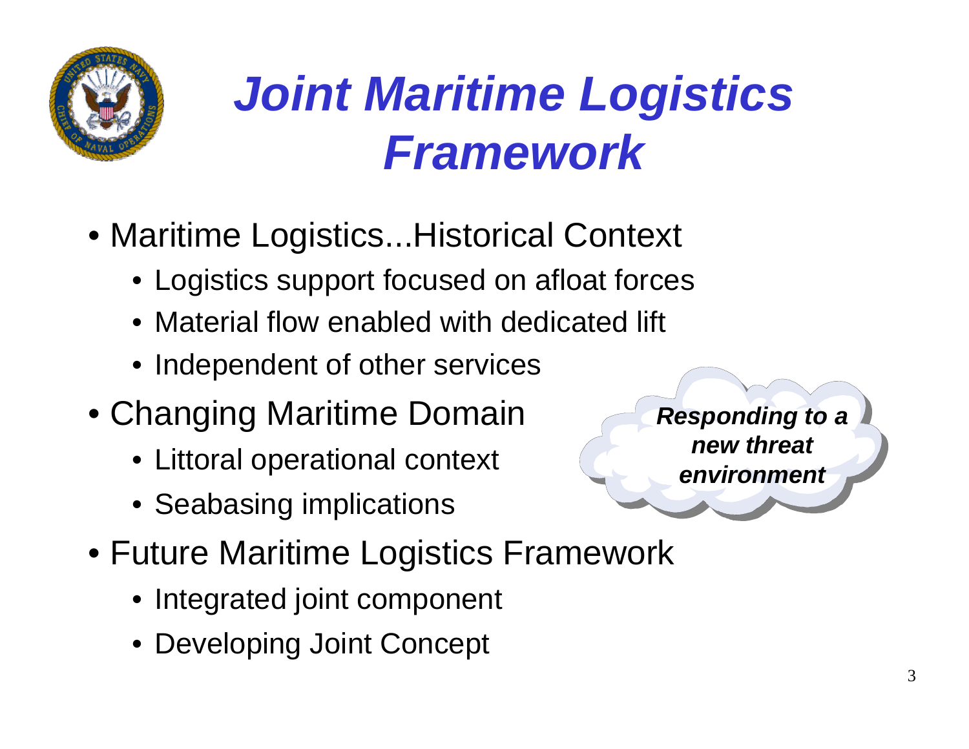

## *Joint Maritime Logistics Framework*

- Maritime Logistics...Historical Context
	- Logistics support focused on afloat forces
	- Material flow enabled with dedicated lift
	- Independent of other services
- Changing Maritime Domain
	- Littoral operational context
	- Seabasing implications
- Future Maritime Logistics Framework
	- Integrated joint component
	- Developing Joint Concept

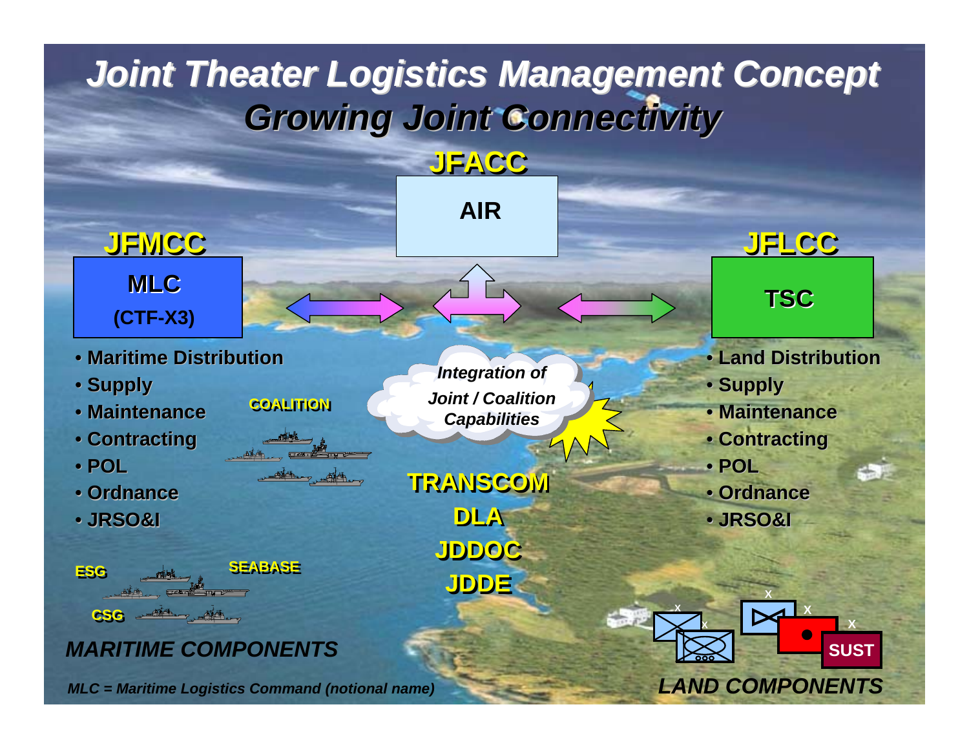### *Joint Theater Logistics Management Concept Joint Theater Logistics Management Concept Growing Joint Connectivity Growing Joint Connectivity*

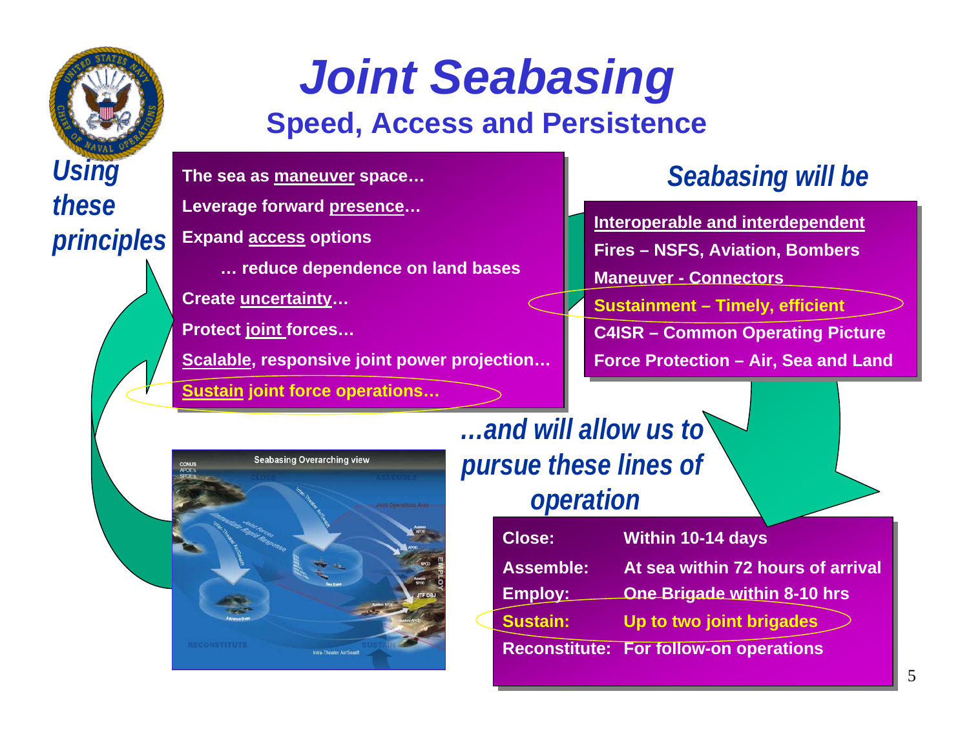

### *Joint Seabasing* **Speed, Access and Persistence**

**The sea as maneuver space… The sea as maneuver space…** 

**Leverage forward presence… Leverage forward presence…**

**Expand access options Expand access options** 

**… reduce dependence on land bases … reduce dependence on land bases**

**Create uncertainty… Create uncertainty…** 

**Protect joint forces… Protect joint forces…**

**Scalable, responsive joint power projection… Scalable, responsive joint power projection…** 

**Sustain joint force operations… Sustain joint force operations…**

#### *Seabasing will be*

**principles** Expand access options **The Expanditure of August 2015 Fires – NSFS, Aviation, Bombers Maneuver - ConnectorsManeuver - ConnectorsSustainment – Timely, efficient Sustainment – Timely, efficient C4ISR – Common Operating Picture C4ISR – Common Operating Picture Force Protection – Air, Sea and Land Force Protection – Air, Sea and Land Interoperable and interdependent**



*…and will allow us to pursue these lines of operation*

| <b>Close:</b>    | <b>Within 10-14 days</b>                      |  |
|------------------|-----------------------------------------------|--|
| <b>Assemble:</b> | At sea within 72 hours of arrival             |  |
| Employ:          | One Brigade within 8-10 hrs                   |  |
| <b>Sustain:</b>  | Up to two joint brigades                      |  |
|                  | <b>Reconstitute: For follow-on operations</b> |  |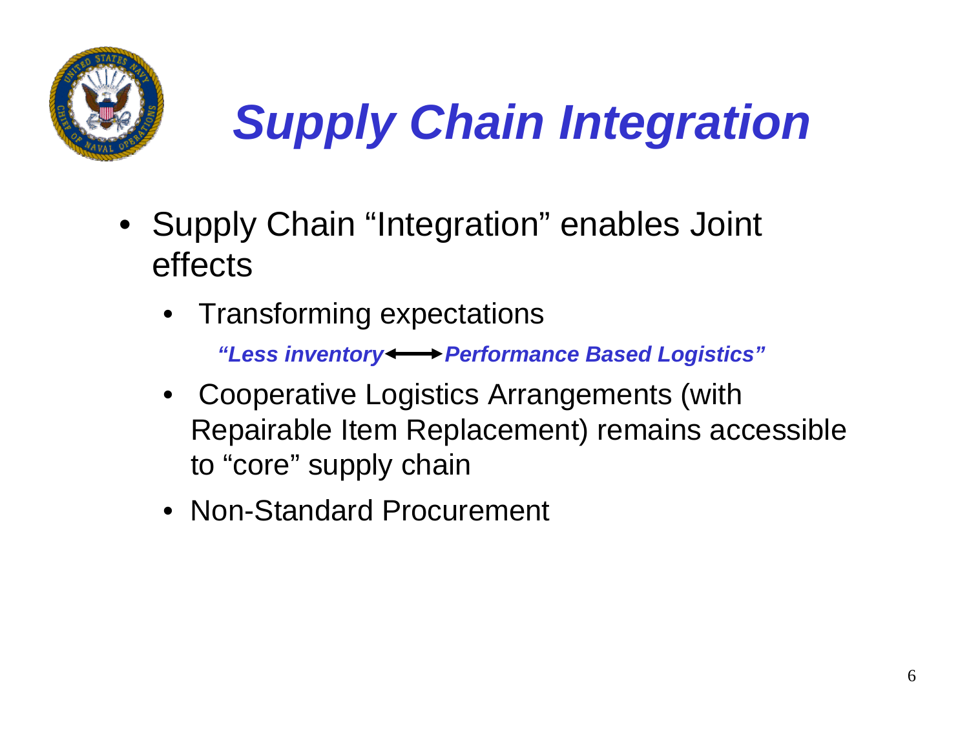

# *Supply Chain Integration*

- Supply Chain "Integration" enables Joint effects
	- •Transforming expectations

*"Less inventory Performance Based Logistics"*

- Cooperative Logistics Arrangements (with Repairable Item Replacement) remains accessible to "core" supply chain
- Non-Standard Procurement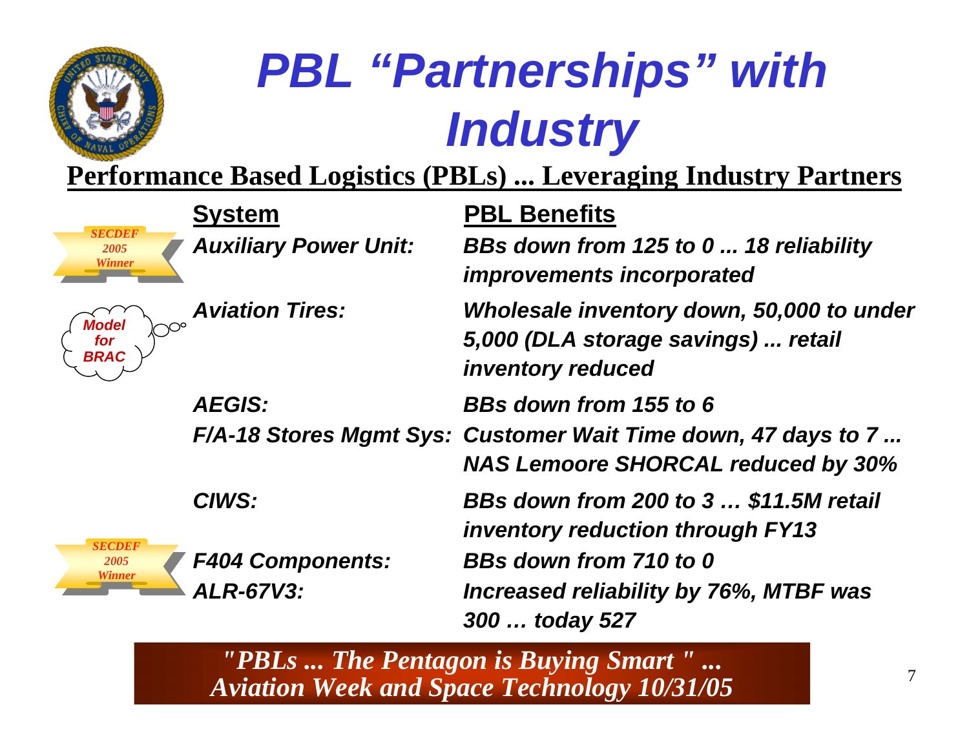

## *PBL "Partnerships" with Industry*

**Performance Based Logistics (PBLs) ... Leveraging Industry Partners**

| <b>SECDEF</b><br>2005<br>Winner | <b>System</b><br><b>Auxiliary Power Unit:</b> | <b>PBL Benefits</b><br>BBs down from 125 to 0  18 reliability<br><i>improvements incorporated</i>          |
|---------------------------------|-----------------------------------------------|------------------------------------------------------------------------------------------------------------|
| Model<br>for<br>BRAC            | <b>Aviation Tires:</b>                        | Wholesale inventory down, 50,000 to under<br>5,000 (DLA storage savings)  retail<br>inventory reduced      |
|                                 | <b>AEGIS:</b>                                 | BBs down from 155 to 6                                                                                     |
|                                 |                                               | F/A-18 Stores Mgmt Sys: Customer Wait Time down, 47 days to 7<br><b>NAS Lemoore SHORCAL reduced by 30%</b> |
|                                 | CIWS:                                         | BBs down from 200 to 3  \$11.5M retail<br><b>inventory reduction through FY13</b>                          |
| <b>SECDEF</b><br>2005<br>Winner | <b>F404 Components:</b>                       | BBs down from 710 to 0                                                                                     |
|                                 | <b>ALR-67V3:</b>                              | Increased reliability by 76%, MTBF was<br>300  today 527                                                   |

*"PBLs ... The Pentagon is Buying Smart " ... Aviation Week and Space Technology 10/31/05*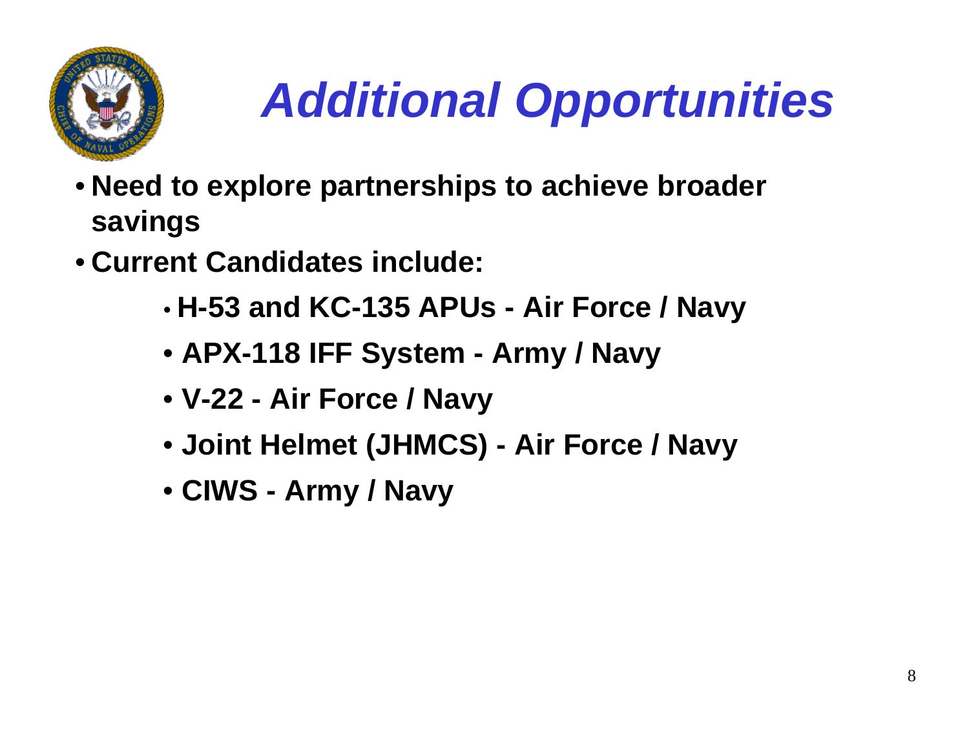

## *Additional Opportunities*

- **Need to explore partnerships to achieve broader savings**
- **Current Candidates include:**
	- •**H-53 and KC-135 APUs - Air Force / Navy**
	- **APX-118 IFF System - Army / Navy**
	- **V-22 - Air Force / Navy**
	- **Joint Helmet (JHMCS) - Air Force / Navy**
	- **CIWS - Army / Navy**